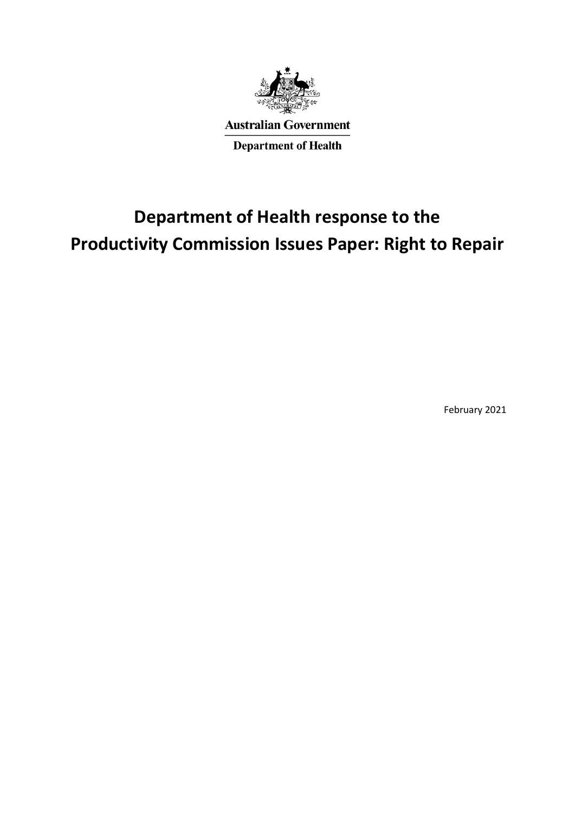

**Australian Government Department of Health** 

# **Department of Health response to the Productivity Commission Issues Paper: Right to Repair**

February 2021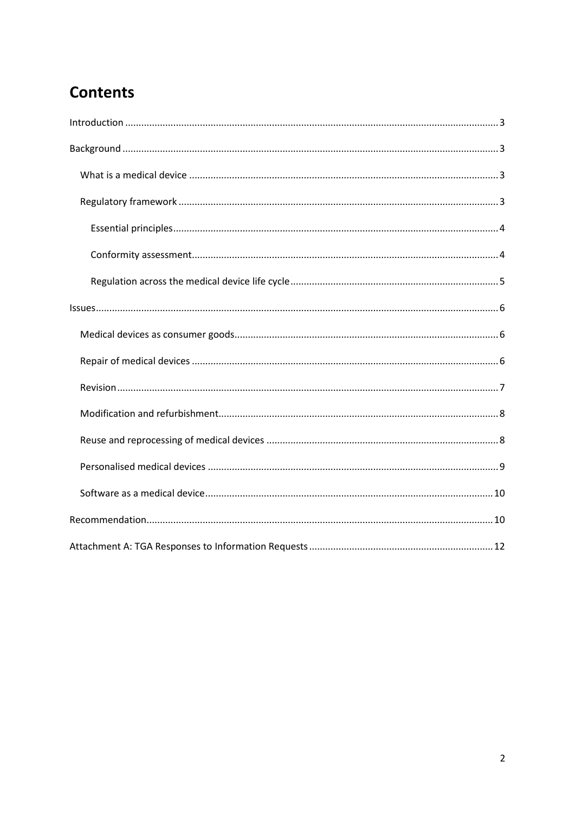# **Contents**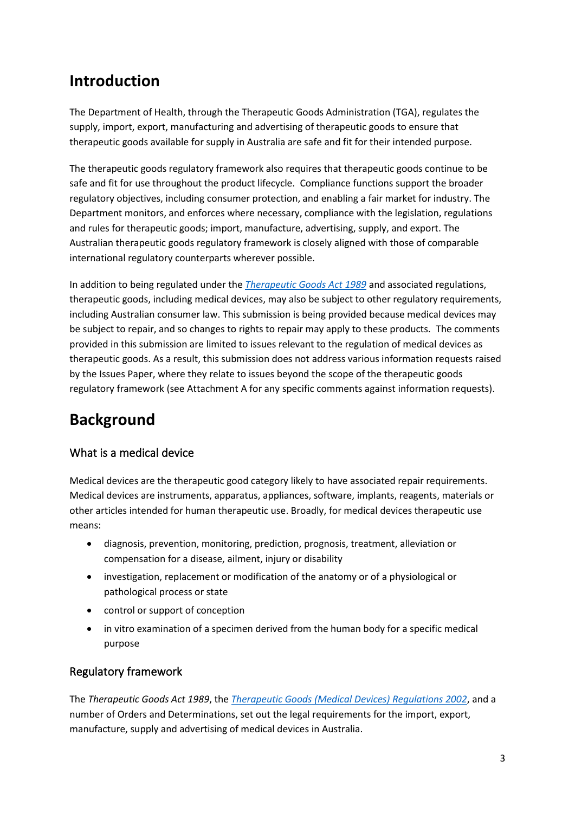# <span id="page-2-0"></span>**Introduction**

The Department of Health, through the Therapeutic Goods Administration (TGA), regulates the supply, import, export, manufacturing and advertising of therapeutic goods to ensure that therapeutic goods available for supply in Australia are safe and fit for their intended purpose.

The therapeutic goods regulatory framework also requires that therapeutic goods continue to be safe and fit for use throughout the product lifecycle. Compliance functions support the broader regulatory objectives, including consumer protection, and enabling a fair market for industry. The Department monitors, and enforces where necessary, compliance with the legislation, regulations and rules for therapeutic goods; import, manufacture, advertising, supply, and export. The Australian therapeutic goods regulatory framework is closely aligned with those of comparable international regulatory counterparts wherever possible.

In addition to being regulated under the *[Therapeutic Goods Act 1989](https://www.legislation.gov.au/Details/C2020C00267)* and associated regulations, therapeutic goods, including medical devices, may also be subject to other regulatory requirements, including Australian consumer law. This submission is being provided because medical devices may be subject to repair, and so changes to rights to repair may apply to these products. The comments provided in this submission are limited to issues relevant to the regulation of medical devices as therapeutic goods. As a result, this submission does not address various information requests raised by the Issues Paper, where they relate to issues beyond the scope of the therapeutic goods regulatory framework (see Attachment A for any specific comments against information requests).

# <span id="page-2-1"></span>**Background**

# <span id="page-2-2"></span>What is a medical device

Medical devices are the therapeutic good category likely to have associated repair requirements. Medical devices are instruments, apparatus, appliances, software, implants, reagents, materials or other articles intended for human therapeutic use. Broadly, for medical devices therapeutic use means:

- diagnosis, prevention, monitoring, prediction, prognosis, treatment, alleviation or compensation for a disease, ailment, injury or disability
- investigation, replacement or modification of the anatomy or of a physiological or pathological process or state
- control or support of conception
- in vitro examination of a specimen derived from the human body for a specific medical purpose

# <span id="page-2-3"></span>Regulatory framework

The *Therapeutic Goods Act 1989*, the *[Therapeutic Goods \(Medical Devices\) Regulations 2002](https://www.legislation.gov.au/Details/F2020C00822)*, and a number of Orders and Determinations, set out the legal requirements for the import, export, manufacture, supply and advertising of medical devices in Australia.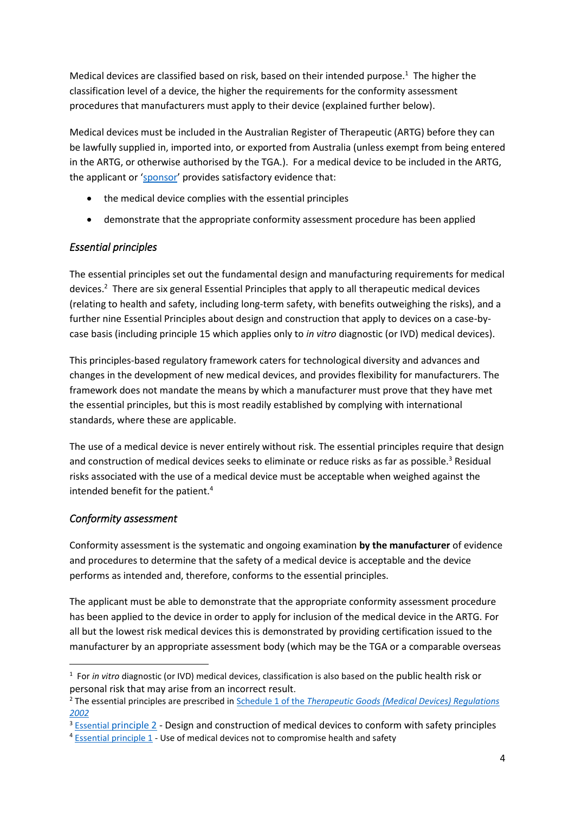Medical devices are classified based on risk, based on their intended purpose. $1$  The higher the classification level of a device, the higher the requirements for the conformity assessment procedures that manufacturers must apply to their device (explained further below).

Medical devices must be included in the Australian Register of Therapeutic (ARTG) before they can be lawfully supplied in, imported into, or exported from Australia (unless exempt from being entered in the ARTG, or otherwise authorised by the TGA.). For a medical device to be included in the ARTG, the applicant or '[sponsor](https://www.tga.gov.au/role-sponsor)' provides satisfactory evidence that:

- the medical device complies with the essential principles
- demonstrate that the appropriate conformity assessment procedure has been applied

### <span id="page-3-0"></span>*Essential principles*

The essential principles set out the fundamental design and manufacturing requirements for medical devices. <sup>2</sup> There are six general Essential Principles that apply to all therapeutic medical devices (relating to health and safety, including long-term safety, with benefits outweighing the risks), and a further nine Essential Principles about design and construction that apply to devices on a case-bycase basis (including principle 15 which applies only to *in vitro* diagnostic (or IVD) medical devices).

This principles-based regulatory framework caters for technological diversity and advances and changes in the development of new medical devices, and provides flexibility for manufacturers. The framework does not mandate the means by which a manufacturer must prove that they have met the essential principles, but this is most readily established by complying with international standards, where these are applicable.

The use of a medical device is never entirely without risk. The essential principles require that design and construction of medical devices seeks to eliminate or reduce risks as far as possible.<sup>3</sup> Residual risks associated with the use of a medical device must be acceptable when weighed against the intended benefit for the patient.<sup>4</sup>

### <span id="page-3-1"></span>*Conformity assessment*

Conformity assessment is the systematic and ongoing examination **by the manufacturer** of evidence and procedures to determine that the safety of a medical device is acceptable and the device performs as intended and, therefore, conforms to the essential principles.

The applicant must be able to demonstrate that the appropriate conformity assessment procedure has been applied to the device in order to apply for inclusion of the medical device in the ARTG. For all but the lowest risk medical devices this is demonstrated by providing certification issued to the manufacturer by an appropriate assessment body (which may be the TGA or [a comparable overseas](https://www.tga.gov.au/comparable-overseas-regulators-medical-device-applications) 

<sup>&</sup>lt;sup>1</sup> For *in vitro* diagnostic (or IVD) medical devices, classification is also based on the public health risk or personal risk that may arise from an incorrect result.

<sup>2</sup> The essential principles are prescribed in Schedule 1 of the *[Therapeutic Goods \(Medical Devices\) Regulations](https://www.legislation.gov.au/Details/F2020C00822/Html/Text#_Toc50713612)  [2002](https://www.legislation.gov.au/Details/F2020C00822/Html/Text#_Toc50713612)*

<sup>&</sup>lt;sup>3</sup> [Essential](https://www.legislation.gov.au/Details/F2020C00822/Html/Text#_Toc50713615) [principle 2](https://www.legislation.gov.au/Details/F2020C00822/Html/Text#_Toc50713615) - Design and construction of medical devices to conform with safety principles

<sup>&</sup>lt;sup>4</sup> [Essential principle 1](https://www.legislation.gov.au/Details/F2020C00822/Html/Text#_Toc50713614) - Use of medical devices not to compromise health and safety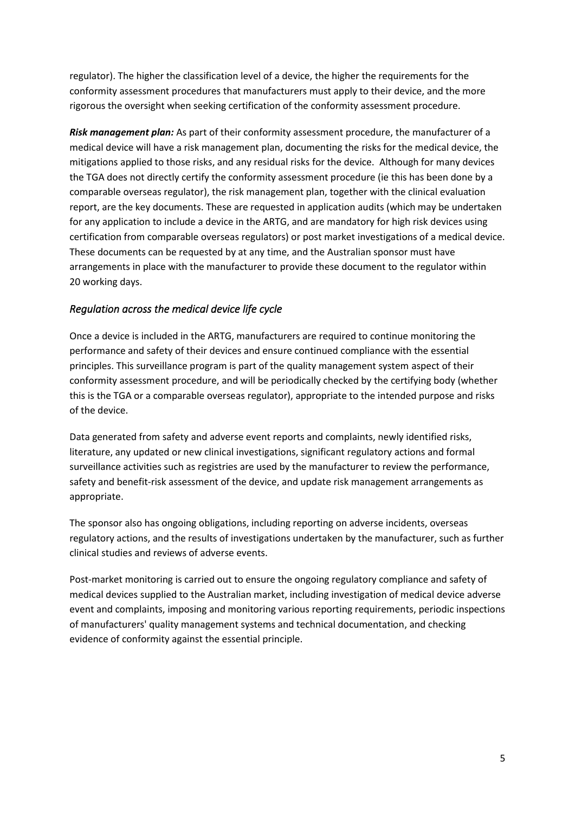[regulator\)](https://www.tga.gov.au/comparable-overseas-regulators-medical-device-applications). The higher the classification level of a device, the higher the requirements for the conformity assessment procedures that manufacturers must apply to their device, and the more rigorous the oversight when seeking certification of the conformity assessment procedure.

*Risk management plan:* As part of their conformity assessment procedure, the manufacturer of a medical device will have a risk management plan, documenting the risks for the medical device, the mitigations applied to those risks, and any residual risks for the device. Although for many devices the TGA does not directly certify the conformity assessment procedure (ie this has been done by a comparable overseas regulator), the risk management plan, together with the clinical evaluation report, are the key documents. These are requested in application audits (which may be undertaken for any application to include a device in the ARTG, and are mandatory for high risk devices using certification from comparable overseas regulators) or post market investigations of a medical device. These documents can be requested by at any time, and the Australian sponsor must have arrangements in place with the manufacturer to provide these document to the regulator within 20 working days.

### <span id="page-4-0"></span>*Regulation across the medical device life cycle*

Once a device is included in the ARTG, manufacturers are required to continue monitoring the performance and safety of their devices and ensure continued compliance with the essential principles. This surveillance program is part of the quality management system aspect of their conformity assessment procedure, and will be periodically checked by the certifying body (whether this is the TGA or a comparable overseas regulator), appropriate to the intended purpose and risks of the device.

Data generated from safety and adverse event reports and complaints, newly identified risks, literature, any updated or new clinical investigations, significant regulatory actions and formal surveillance activities such as registries are used by the manufacturer to review the performance, safety and benefit-risk assessment of the device, and update risk management arrangements as appropriate.

The sponsor also has ongoing obligations, including reporting on adverse incidents, overseas regulatory actions, and the results of investigations undertaken by the manufacturer, such as further clinical studies and reviews of adverse events.

Post-market monitoring is carried out to ensure the ongoing regulatory compliance and safety of medical devices supplied to the Australian market, including investigation of medical device adverse event and complaints, imposing and monitoring various reporting requirements, periodic inspections of manufacturers' quality management systems and technical documentation, and checking evidence of conformity against the essential principle.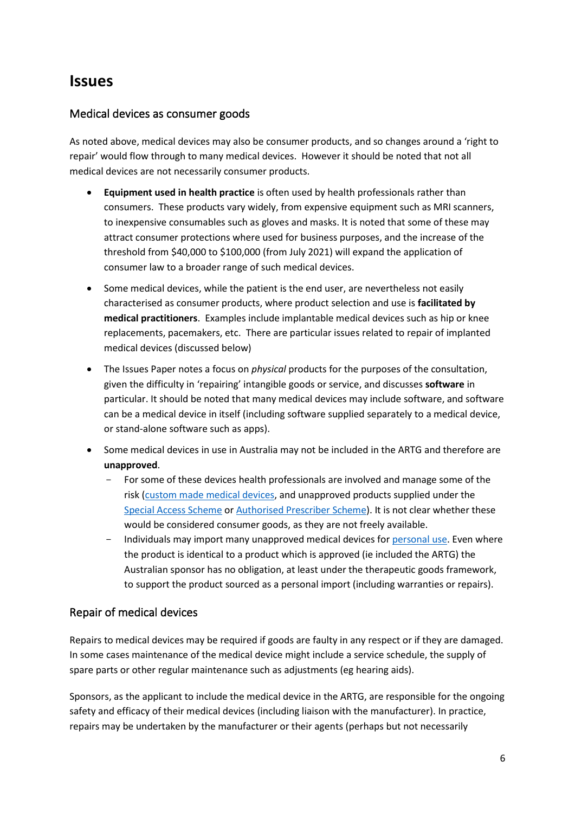# <span id="page-5-0"></span>**Issues**

## <span id="page-5-1"></span>Medical devices as consumer goods

As noted above, medical devices may also be consumer products, and so changes around a 'right to repair' would flow through to many medical devices. However it should be noted that not all medical devices are not necessarily consumer products.

- **Equipment used in health practice** is often used by health professionals rather than consumers. These products vary widely, from expensive equipment such as MRI scanners, to inexpensive consumables such as gloves and masks. It is noted that some of these may attract consumer protections where used for business purposes, and the increase of the threshold from \$40,000 to \$100,000 (from July 2021) will expand the application of consumer law to a broader range of such medical devices.
- Some medical devices, while the patient is the end user, are nevertheless not easily characterised as consumer products, where product selection and use is **facilitated by medical practitioners**. Examples include implantable medical devices such as hip or knee replacements, pacemakers, etc. There are particular issues related to repair of implanted medical devices (discussed below)
- The Issues Paper notes a focus on *physical* products for the purposes of the consultation, given the difficulty in 'repairing' intangible goods or service, and discusses **software** in particular. It should be noted that many medical devices may include software, and software can be a medical device in itself (including software supplied separately to a medical device, or stand-alone software such as apps).
- Some medical devices in use in Australia may not be included in the ARTG and therefore are **unapproved**.
	- For some of these devices health professionals are involved and manage some of the risk [\(custom made medical devices,](http://www.tga.gov.au/custom-made-medical-devices) and unapproved products supplied under the [Special Access Scheme](http://www.tga.gov.au/form/special-access-scheme) o[r Authorised Prescriber Scheme\)](http://www.tga.gov.au/form/authorised-prescribers). It is not clear whether these would be considered consumer goods, as they are not freely available.
	- Individuals may import many unapproved medical devices for [personal use.](https://www.tga.gov.au/personal-importation-scheme) Even where the product is identical to a product which is approved (ie included the ARTG) the Australian sponsor has no obligation, at least under the therapeutic goods framework, to support the product sourced as a personal import (including warranties or repairs).

# <span id="page-5-2"></span>Repair of medical devices

Repairs to medical devices may be required if goods are faulty in any respect or if they are damaged. In some cases maintenance of the medical device might include a service schedule, the supply of spare parts or other regular maintenance such as adjustments (eg hearing aids).

Sponsors, as the applicant to include the medical device in the ARTG, are responsible for the ongoing safety and efficacy of their medical devices (including liaison with the manufacturer). In practice, repairs may be undertaken by the manufacturer or their agents (perhaps but not necessarily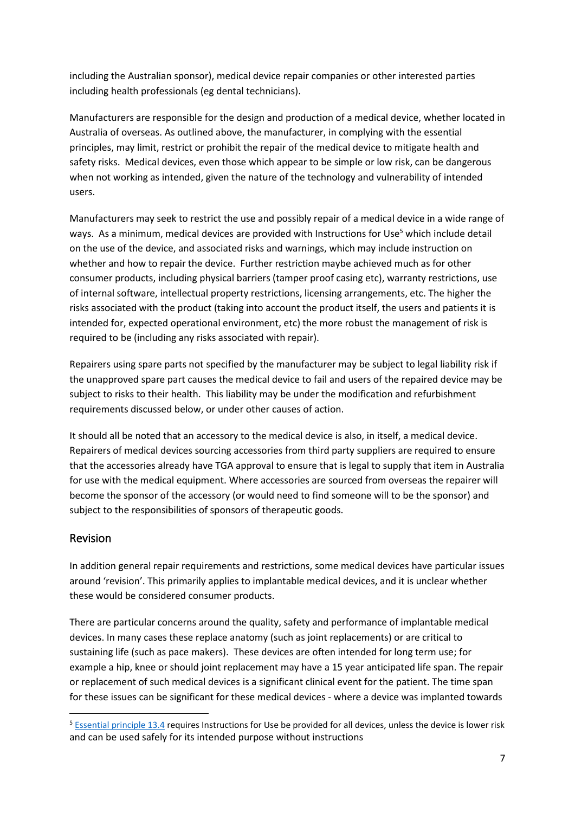including the Australian sponsor), medical device repair companies or other interested parties including health professionals (eg dental technicians).

Manufacturers are responsible for the design and production of a medical device, whether located in Australia of overseas. As outlined above, the manufacturer, in complying with the essential principles, may limit, restrict or prohibit the repair of the medical device to mitigate health and safety risks. Medical devices, even those which appear to be simple or low risk, can be dangerous when not working as intended, given the nature of the technology and vulnerability of intended users.

Manufacturers may seek to restrict the use and possibly repair of a medical device in a wide range of ways. As a minimum, medical devices are provided with Instructions for Use<sup>5</sup> which include detail on the use of the device, and associated risks and warnings, which may include instruction on whether and how to repair the device. Further restriction maybe achieved much as for other consumer products, including physical barriers (tamper proof casing etc), warranty restrictions, use of internal software, intellectual property restrictions, licensing arrangements, etc. The higher the risks associated with the product (taking into account the product itself, the users and patients it is intended for, expected operational environment, etc) the more robust the management of risk is required to be (including any risks associated with repair).

Repairers using spare parts not specified by the manufacturer may be subject to legal liability risk if the unapproved spare part causes the medical device to fail and users of the repaired device may be subject to risks to their health. This liability may be under the modification and refurbishment requirements discussed below, or under other causes of action.

It should all be noted that an accessory to the medical device is also, in itself, a medical device. Repairers of medical devices sourcing accessories from third party suppliers are required to ensure that the accessories already have TGA approval to ensure that is legal to supply that item in Australia for use with the medical equipment. Where accessories are sourced from overseas the repairer will become the sponsor of the accessory (or would need to find someone will to be the sponsor) and subject to the responsibilities of sponsors of therapeutic goods.

### <span id="page-6-0"></span>Revision

In addition general repair requirements and restrictions, some medical devices have particular issues around 'revision'. This primarily applies to implantable medical devices, and it is unclear whether these would be considered consumer products.

There are particular concerns around the quality, safety and performance of implantable medical devices. In many cases these replace anatomy (such as joint replacements) or are critical to sustaining life (such as pace makers). These devices are often intended for long term use; for example a hip, knee or should joint replacement may have a 15 year anticipated life span. The repair or replacement of such medical devices is a significant clinical event for the patient. The time span for these issues can be significant for these medical devices - where a device was implanted towards

<sup>5</sup> [Essential principle 13.4](https://www.legislation.gov.au/Details/F2020C00822/Html/Text#_Toc50713662) requires Instructions for Use be provided for all devices, unless the device is lower risk and can be used safely for its intended purpose without instructions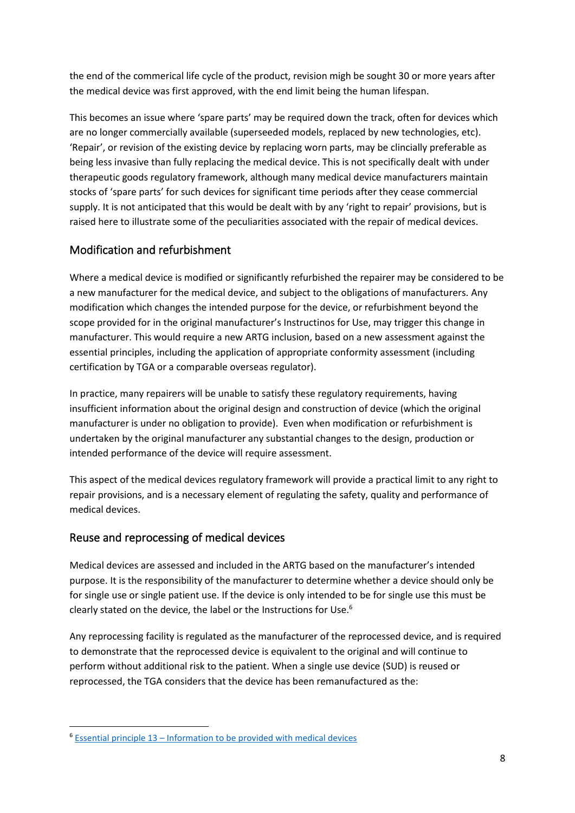the end of the commerical life cycle of the product, revision migh be sought 30 or more years after the medical device was first approved, with the end limit being the human lifespan.

This becomes an issue where 'spare parts' may be required down the track, often for devices which are no longer commercially available (superseeded models, replaced by new technologies, etc). 'Repair', or revision of the existing device by replacing worn parts, may be clincially preferable as being less invasive than fully replacing the medical device. This is not specifically dealt with under therapeutic goods regulatory framework, although many medical device manufacturers maintain stocks of 'spare parts' for such devices for significant time periods after they cease commercial supply. It is not anticipated that this would be dealt with by any 'right to repair' provisions, but is raised here to illustrate some of the peculiarities associated with the repair of medical devices.

# <span id="page-7-0"></span>Modification and refurbishment

Where a medical device is modified or significantly refurbished the repairer may be considered to be a new manufacturer for the medical device, and subject to the obligations of manufacturers. Any modification which changes the intended purpose for the device, or refurbishment beyond the scope provided for in the original manufacturer's Instructinos for Use, may trigger this change in manufacturer. This would require a new ARTG inclusion, based on a new assessment against the essential principles, including the application of appropriate conformity assessment (including certification by TGA or a comparable overseas regulator).

In practice, many repairers will be unable to satisfy these regulatory requirements, having insufficient information about the original design and construction of device (which the original manufacturer is under no obligation to provide). Even when modification or refurbishment is undertaken by the original manufacturer any substantial changes to the design, production or intended performance of the device will require assessment.

This aspect of the medical devices regulatory framework will provide a practical limit to any right to repair provisions, and is a necessary element of regulating the safety, quality and performance of medical devices.

# <span id="page-7-1"></span>Reuse and reprocessing of medical devices

Medical devices are assessed and included in the ARTG based on the manufacturer's intended purpose. It is the responsibility of the manufacturer to determine whether a device should only be for single use or single patient use. If the device is only intended to be for single use this must be clearly stated on the device, the label or the Instructions for Use.<sup>6</sup>

Any reprocessing facility is regulated as the manufacturer of the reprocessed device, and is required to demonstrate that the reprocessed device is equivalent to the original and will continue to perform without additional risk to the patient. When a single use device (SUD) is reused or reprocessed, the TGA considers that the device has been remanufactured as the:

 $6$  Essential principle 13 – [Information to be provided with medical devices](https://www.legislation.gov.au/Details/F2020C00822/Html/Text#_Toc50713658)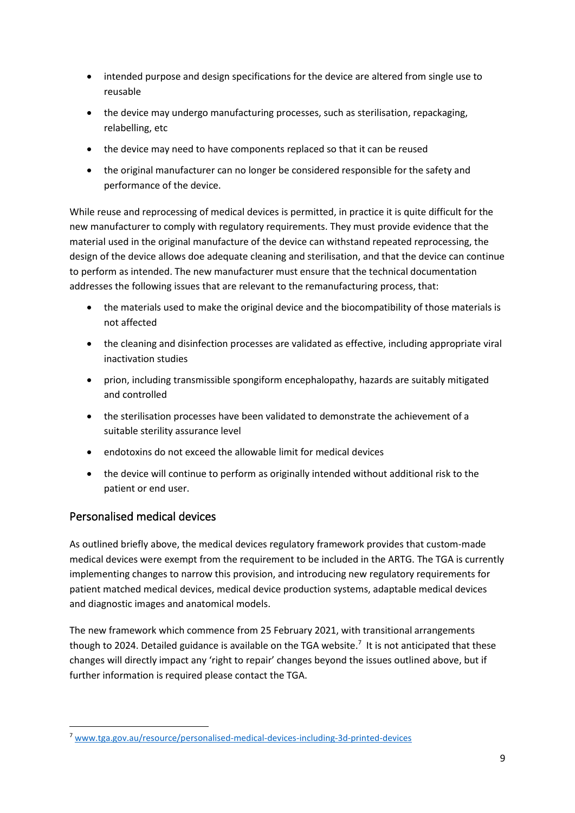- intended purpose and design specifications for the device are altered from single use to reusable
- the device may undergo manufacturing processes, such as sterilisation, repackaging, relabelling, etc
- the device may need to have components replaced so that it can be reused
- the original manufacturer can no longer be considered responsible for the safety and performance of the device.

While reuse and reprocessing of medical devices is permitted, in practice it is quite difficult for the new manufacturer to comply with regulatory requirements. They must provide evidence that the material used in the original manufacture of the device can withstand repeated reprocessing, the design of the device allows doe adequate cleaning and sterilisation, and that the device can continue to perform as intended. The new manufacturer must ensure that the technical documentation addresses the following issues that are relevant to the remanufacturing process, that:

- the materials used to make the original device and the biocompatibility of those materials is not affected
- the cleaning and disinfection processes are validated as effective, including appropriate viral inactivation studies
- prion, including transmissible spongiform encephalopathy, hazards are suitably mitigated and controlled
- the sterilisation processes have been validated to demonstrate the achievement of a suitable sterility assurance level
- endotoxins do not exceed the allowable limit for medical devices
- the device will continue to perform as originally intended without additional risk to the patient or end user.

# <span id="page-8-0"></span>Personalised medical devices

As outlined briefly above, the medical devices regulatory framework provides that custom-made medical devices were exempt from the requirement to be included in the ARTG. The TGA is currently implementing changes to narrow this provision, and introducing new regulatory requirements for patient matched medical devices, medical device production systems, adaptable medical devices and diagnostic images and anatomical models.

The new framework which commence from 25 February 2021, with transitional arrangements though to 2024. Detailed guidance is available on the TGA website.<sup>7</sup> It is not anticipated that these changes will directly impact any 'right to repair' changes beyond the issues outlined above, but if further information is required please contact the TGA.

<sup>7</sup> [www.tga.gov.au/resource/personalised-medical-devices-including-3d-printed-devices](http://www.tga.gov.au/resource/personalised-medical-devices-including-3d-printed-devices)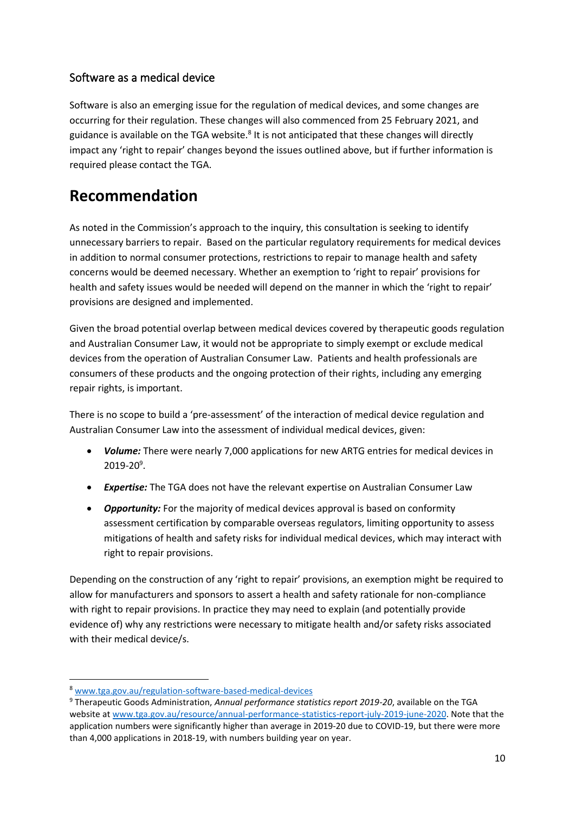# <span id="page-9-0"></span>Software as a medical device

Software is also an emerging issue for the regulation of medical devices, and some changes are occurring for their regulation. These changes will also commenced from 25 February 2021, and guidance is available on the TGA website.<sup>8</sup> It is not anticipated that these changes will directly impact any 'right to repair' changes beyond the issues outlined above, but if further information is required please contact the TGA.

# <span id="page-9-1"></span>**Recommendation**

As noted in the Commission's approach to the inquiry, this consultation is seeking to identify unnecessary barriers to repair. Based on the particular regulatory requirements for medical devices in addition to normal consumer protections, restrictions to repair to manage health and safety concerns would be deemed necessary. Whether an exemption to 'right to repair' provisions for health and safety issues would be needed will depend on the manner in which the 'right to repair' provisions are designed and implemented.

Given the broad potential overlap between medical devices covered by therapeutic goods regulation and Australian Consumer Law, it would not be appropriate to simply exempt or exclude medical devices from the operation of Australian Consumer Law. Patients and health professionals are consumers of these products and the ongoing protection of their rights, including any emerging repair rights, is important.

There is no scope to build a 'pre-assessment' of the interaction of medical device regulation and Australian Consumer Law into the assessment of individual medical devices, given:

- *Volume:* There were nearly 7,000 applications for new ARTG entries for medical devices in 2019-20<sup>9</sup> .
- *Expertise:* The TGA does not have the relevant expertise on Australian Consumer Law
- *Opportunity:* For the majority of medical devices approval is based on conformity assessment certification by comparable overseas regulators, limiting opportunity to assess mitigations of health and safety risks for individual medical devices, which may interact with right to repair provisions.

Depending on the construction of any 'right to repair' provisions, an exemption might be required to allow for manufacturers and sponsors to assert a health and safety rationale for non-compliance with right to repair provisions. In practice they may need to explain (and potentially provide evidence of) why any restrictions were necessary to mitigate health and/or safety risks associated with their medical device/s.

<sup>8</sup> [www.tga.gov.au/regulation-software-based-medical-devices](http://www.tga.gov.au/regulation-software-based-medical-devices)

<sup>9</sup> Therapeutic Goods Administration, *Annual performance statistics report 2019-20*, available on the TGA website a[t www.tga.gov.au/resource/annual-performance-statistics-report-july-2019-june-2020.](http://www.tga.gov.au/resource/annual-performance-statistics-report-july-2019-june-2020) Note that the application numbers were significantly higher than average in 2019-20 due to COVID-19, but there were more than 4,000 applications in 2018-19, with numbers building year on year.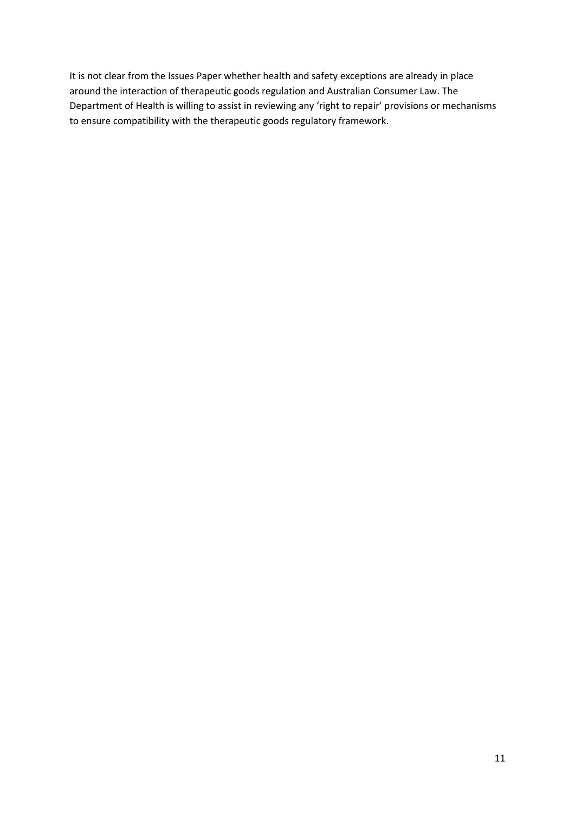It is not clear from the Issues Paper whether health and safety exceptions are already in place around the interaction of therapeutic goods regulation and Australian Consumer Law. The Department of Health is willing to assist in reviewing any 'right to repair' provisions or mechanisms to ensure compatibility with the therapeutic goods regulatory framework.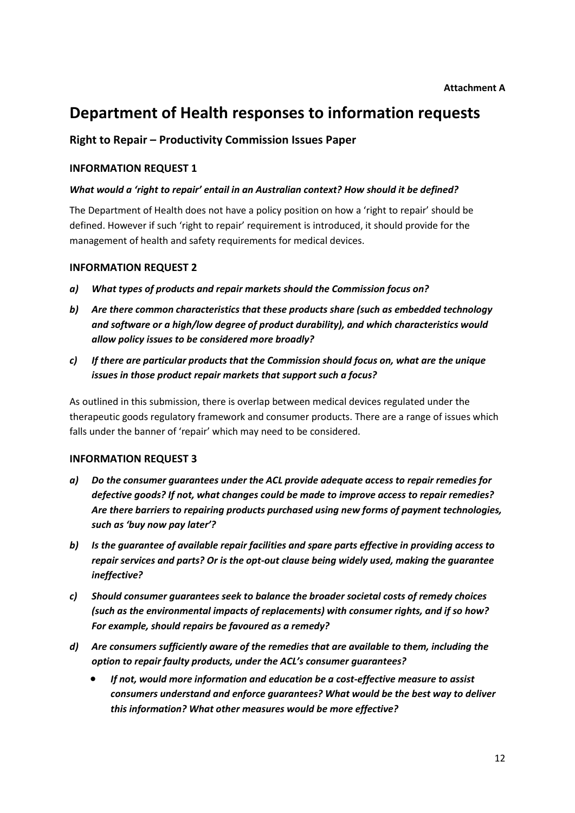# <span id="page-11-0"></span>**Department of Health responses to information requests**

### **Right to Repair – Productivity Commission Issues Paper**

### **INFORMATION REQUEST 1**

#### *What would a 'right to repair' entail in an Australian context? How should it be defined?*

The Department of Health does not have a policy position on how a 'right to repair' should be defined. However if such 'right to repair' requirement is introduced, it should provide for the management of health and safety requirements for medical devices.

#### **INFORMATION REQUEST 2**

- *a) What types of products and repair markets should the Commission focus on?*
- *b) Are there common characteristics that these products share (such as embedded technology and software or a high/low degree of product durability), and which characteristics would allow policy issues to be considered more broadly?*
- *c) If there are particular products that the Commission should focus on, what are the unique issues in those product repair markets that support such a focus?*

As outlined in this submission, there is overlap between medical devices regulated under the therapeutic goods regulatory framework and consumer products. There are a range of issues which falls under the banner of 'repair' which may need to be considered.

#### **INFORMATION REQUEST 3**

- *a) Do the consumer guarantees under the ACL provide adequate access to repair remedies for defective goods? If not, what changes could be made to improve access to repair remedies? Are there barriers to repairing products purchased using new forms of payment technologies, such as 'buy now pay later'?*
- *b) Is the guarantee of available repair facilities and spare parts effective in providing access to repair services and parts? Or is the opt-out clause being widely used, making the guarantee ineffective?*
- *c) Should consumer guarantees seek to balance the broader societal costs of remedy choices (such as the environmental impacts of replacements) with consumer rights, and if so how? For example, should repairs be favoured as a remedy?*
- *d) Are consumers sufficiently aware of the remedies that are available to them, including the option to repair faulty products, under the ACL's consumer guarantees?*
	- *If not, would more information and education be a cost-effective measure to assist consumers understand and enforce guarantees? What would be the best way to deliver this information? What other measures would be more effective?*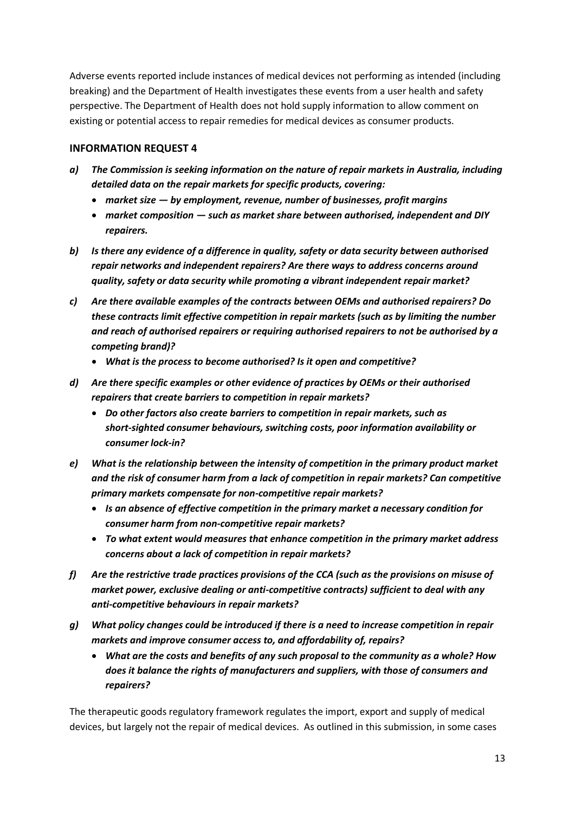Adverse events reported include instances of medical devices not performing as intended (including breaking) and the Department of Health investigates these events from a user health and safety perspective. The Department of Health does not hold supply information to allow comment on existing or potential access to repair remedies for medical devices as consumer products.

### **INFORMATION REQUEST 4**

- *a) The Commission is seeking information on the nature of repair markets in Australia, including detailed data on the repair markets for specific products, covering:* 
	- *market size — by employment, revenue, number of businesses, profit margins*
	- *market composition — such as market share between authorised, independent and DIY repairers.*
- *b) Is there any evidence of a difference in quality, safety or data security between authorised repair networks and independent repairers? Are there ways to address concerns around quality, safety or data security while promoting a vibrant independent repair market?*
- *c) Are there available examples of the contracts between OEMs and authorised repairers? Do these contracts limit effective competition in repair markets (such as by limiting the number and reach of authorised repairers or requiring authorised repairers to not be authorised by a competing brand)?*
	- *What is the process to become authorised? Is it open and competitive?*
- *d) Are there specific examples or other evidence of practices by OEMs or their authorised repairers that create barriers to competition in repair markets?*
	- *Do other factors also create barriers to competition in repair markets, such as short-sighted consumer behaviours, switching costs, poor information availability or consumer lock-in?*
- *e) What is the relationship between the intensity of competition in the primary product market and the risk of consumer harm from a lack of competition in repair markets? Can competitive primary markets compensate for non-competitive repair markets?*
	- *Is an absence of effective competition in the primary market a necessary condition for consumer harm from non-competitive repair markets?*
	- *To what extent would measures that enhance competition in the primary market address concerns about a lack of competition in repair markets?*
- *f) Are the restrictive trade practices provisions of the CCA (such as the provisions on misuse of market power, exclusive dealing or anti-competitive contracts) sufficient to deal with any anti-competitive behaviours in repair markets?*
- *g) What policy changes could be introduced if there is a need to increase competition in repair markets and improve consumer access to, and affordability of, repairs?*
	- *What are the costs and benefits of any such proposal to the community as a whole? How does it balance the rights of manufacturers and suppliers, with those of consumers and repairers?*

The therapeutic goods regulatory framework regulates the import, export and supply of medical devices, but largely not the repair of medical devices. As outlined in this submission, in some cases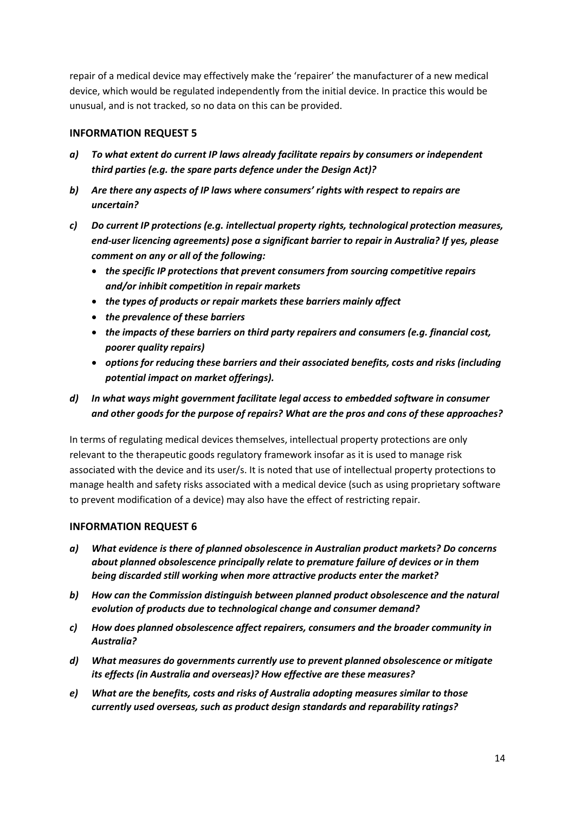repair of a medical device may effectively make the 'repairer' the manufacturer of a new medical device, which would be regulated independently from the initial device. In practice this would be unusual, and is not tracked, so no data on this can be provided.

### **INFORMATION REQUEST 5**

- *a) To what extent do current IP laws already facilitate repairs by consumers or independent third parties (e.g. the spare parts defence under the Design Act)?*
- *b) Are there any aspects of IP laws where consumers' rights with respect to repairs are uncertain?*
- *c) Do current IP protections (e.g. intellectual property rights, technological protection measures, end-user licencing agreements) pose a significant barrier to repair in Australia? If yes, please comment on any or all of the following:*
	- *the specific IP protections that prevent consumers from sourcing competitive repairs and/or inhibit competition in repair markets*
	- *the types of products or repair markets these barriers mainly affect*
	- *the prevalence of these barriers*
	- *the impacts of these barriers on third party repairers and consumers (e.g. financial cost, poorer quality repairs)*
	- *options for reducing these barriers and their associated benefits, costs and risks (including potential impact on market offerings).*

### *d) In what ways might government facilitate legal access to embedded software in consumer and other goods for the purpose of repairs? What are the pros and cons of these approaches?*

In terms of regulating medical devices themselves, intellectual property protections are only relevant to the therapeutic goods regulatory framework insofar as it is used to manage risk associated with the device and its user/s. It is noted that use of intellectual property protections to manage health and safety risks associated with a medical device (such as using proprietary software to prevent modification of a device) may also have the effect of restricting repair.

### **INFORMATION REQUEST 6**

- *a) What evidence is there of planned obsolescence in Australian product markets? Do concerns about planned obsolescence principally relate to premature failure of devices or in them being discarded still working when more attractive products enter the market?*
- *b) How can the Commission distinguish between planned product obsolescence and the natural evolution of products due to technological change and consumer demand?*
- *c) How does planned obsolescence affect repairers, consumers and the broader community in Australia?*
- *d) What measures do governments currently use to prevent planned obsolescence or mitigate its effects (in Australia and overseas)? How effective are these measures?*
- *e) What are the benefits, costs and risks of Australia adopting measures similar to those currently used overseas, such as product design standards and reparability ratings?*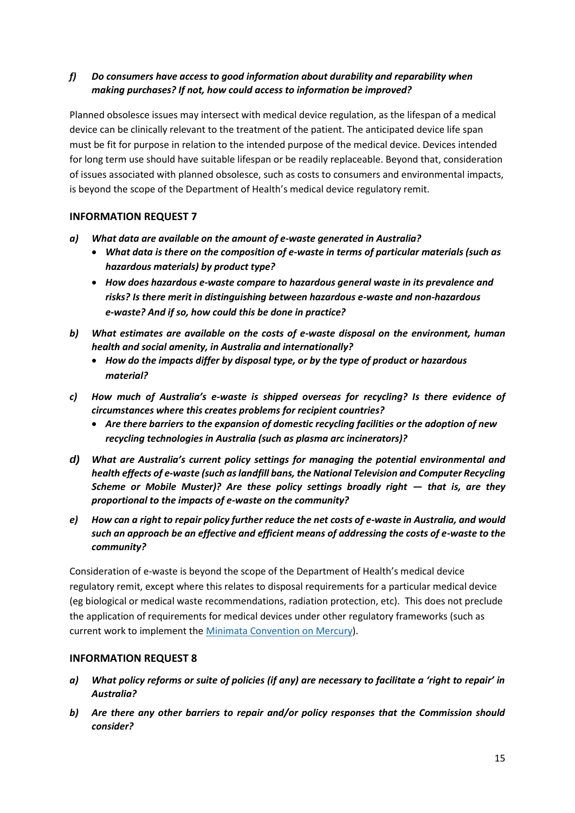### *f) Do consumers have access to good information about durability and reparability when making purchases? If not, how could access to information be improved?*

Planned obsolesce issues may intersect with medical device regulation, as the lifespan of a medical device can be clinically relevant to the treatment of the patient. The anticipated device life span must be fit for purpose in relation to the intended purpose of the medical device. Devices intended for long term use should have suitable lifespan or be readily replaceable. Beyond that, consideration of issues associated with planned obsolesce, such as costs to consumers and environmental impacts, is beyond the scope of the Department of Health's medical device regulatory remit.

### **INFORMATION REQUEST 7**

- *a) What data are available on the amount of e-waste generated in Australia?*
	- *What data is there on the composition of e-waste in terms of particular materials (such as hazardous materials) by product type?*
	- *How does hazardous e-waste compare to hazardous general waste in its prevalence and risks? Is there merit in distinguishing between hazardous e-waste and non-hazardous e-waste? And if so, how could this be done in practice?*
- *b) What estimates are available on the costs of e-waste disposal on the environment, human health and social amenity, in Australia and internationally?* 
	- *How do the impacts differ by disposal type, or by the type of product or hazardous material?*
- *c) How much of Australia's e-waste is shipped overseas for recycling? Is there evidence of circumstances where this creates problems for recipient countries?* 
	- *Are there barriers to the expansion of domestic recycling facilities or the adoption of new recycling technologies in Australia (such as plasma arc incinerators)?*
- *d) What are Australia's current policy settings for managing the potential environmental and health effects of e-waste (such as landfill bans, the National Television and Computer Recycling Scheme or Mobile Muster)? Are these policy settings broadly right — that is, are they proportional to the impacts of e-waste on the community?*
- *e) How can a right to repair policy further reduce the net costs of e-waste in Australia, and would such an approach be an effective and efficient means of addressing the costs of e-waste to the community?*

Consideration of e-waste is beyond the scope of the Department of Health's medical device regulatory remit, except where this relates to disposal requirements for a particular medical device (eg biological or medical waste recommendations, radiation protection, etc). This does not preclude the application of requirements for medical devices under other regulatory frameworks (such as current work to implement the [Minimata Convention on Mercury\)](https://www.environment.gov.au/protection/chemicals-management/mercury).

### **INFORMATION REQUEST 8**

- *a) What policy reforms or suite of policies (if any) are necessary to facilitate a 'right to repair' in Australia?*
- *b) Are there any other barriers to repair and/or policy responses that the Commission should consider?*